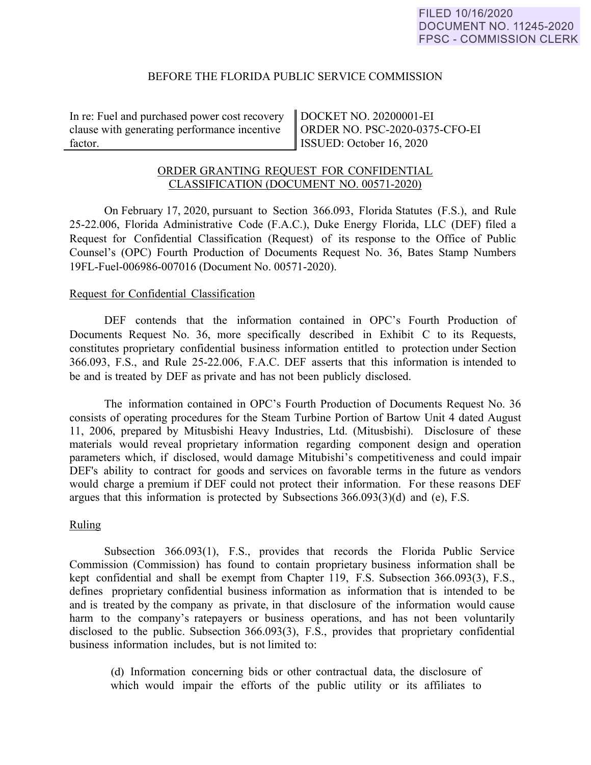### BEFORE THE FLORIDA PUBLIC SERVICE COMMISSION

In re: Fuel and purchased power cost recovery clause with generating performance incentive factor.

DOCKET NO. 20200001-EI ORDER NO. PSC-2020-0375-CFO-EI ISSUED: October 16, 2020

# ORDER GRANTING REQUEST FOR CONFIDENTIAL CLASSIFICATION (DOCUMENT NO. 00571-2020)

On February 17, 2020, pursuant to Section 366.093, Florida Statutes (F.S.), and Rule 25-22.006, Florida Administrative Code (F.A.C.), Duke Energy Florida, LLC (DEF) filed a Request for Confidential Classification (Request) of its response to the Office of Public Counsel's (OPC) Fourth Production of Documents Request No. 36, Bates Stamp Numbers 19FL-Fuel-006986-007016 (Document No. 00571-2020).

### Request for Confidential Classification

DEF contends that the information contained in OPC's Fourth Production of Documents Request No. 36, more specifically described in Exhibit C to its Requests, constitutes proprietary confidential business information entitled to protection under Section 366.093, F.S., and Rule 25-22.006, F.A.C. DEF asserts that this information is intended to be and is treated by DEF as private and has not been publicly disclosed.

 The information contained in OPC's Fourth Production of Documents Request No. 36 consists of operating procedures for the Steam Turbine Portion of Bartow Unit 4 dated August 11, 2006, prepared by Mitusbishi Heavy Industries, Ltd. (Mitusbishi). Disclosure of these materials would reveal proprietary information regarding component design and operation parameters which, if disclosed, would damage Mitubishi's competitiveness and could impair DEF's ability to contract for goods and services on favorable terms in the future as vendors would charge a premium if DEF could not protect their information. For these reasons DEF argues that this information is protected by Subsections 366.093(3)(d) and (e), F.S.

# Ruling

Subsection 366.093(1), F.S., provides that records the Florida Public Service Commission (Commission) has found to contain proprietary business information shall be kept confidential and shall be exempt from Chapter 119, F.S. Subsection 366.093(3), F.S., defines proprietary confidential business information as information that is intended to be and is treated by the company as private, in that disclosure of the information would cause harm to the company's ratepayers or business operations, and has not been voluntarily disclosed to the public. Subsection 366.093(3), F.S., provides that proprietary confidential business information includes, but is not limited to:

(d) Information concerning bids or other contractual data, the disclosure of which would impair the efforts of the public utility or its affiliates to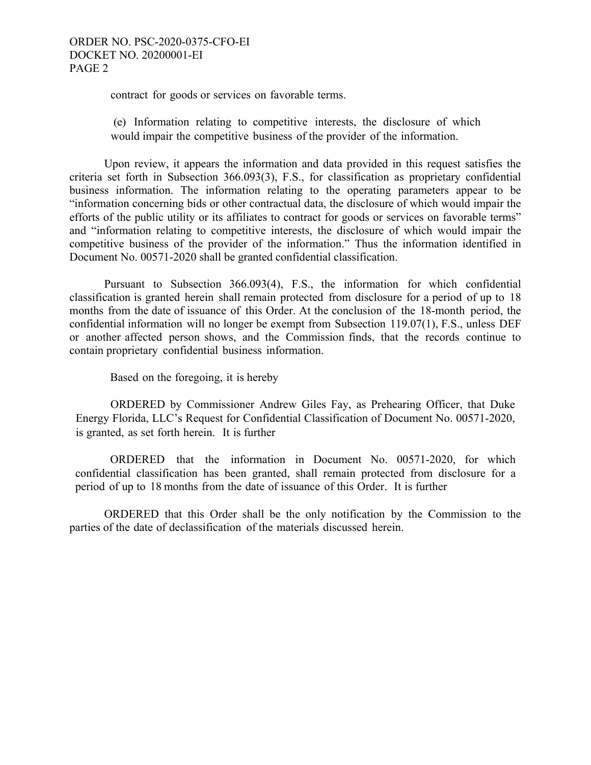contract for goods or services on favorable terms.

(e) Information relating to competitive interests, the disclosure of which would impair the competitive business of the provider of the information.

 Upon review, it appears the information and data provided in this request satisfies the criteria set forth in Subsection 366.093(3), F.S., for classification as proprietary confidential business information. The information relating to the operating parameters appear to be "information concerning bids or other contractual data, the disclosure of which would impair the efforts of the public utility or its affiliates to contract for goods or services on favorable terms" and "information relating to competitive interests, the disclosure of which would impair the competitive business of the provider of the information." Thus the information identified in Document No. 00571-2020 shall be granted confidential classification.

 Pursuant to Subsection 366.093(4), F.S., the information for which confidential classification is granted herein shall remain protected from disclosure for a period of up to 18 months from the date of issuance of this Order. At the conclusion of the 18-month period, the confidential information will no longer be exempt from Subsection 119.07(1), F.S., unless DEF or another affected person shows, and the Commission finds, that the records continue to contain proprietary confidential business information.

Based on the foregoing, it is hereby

ORDERED by Commissioner Andrew Giles Fay, as Prehearing Officer, that Duke Energy Florida, LLC's Request for Confidential Classification of Document No. 00571-2020, is granted, as set forth herein. It is further

ORDERED that the information in Document No. 00571-2020, for which confidential classification has been granted, shall remain protected from disclosure for a period of up to 18 months from the date of issuance of this Order. It is further

 ORDERED that this Order shall be the only notification by the Commission to the parties of the date of declassification of the materials discussed herein.